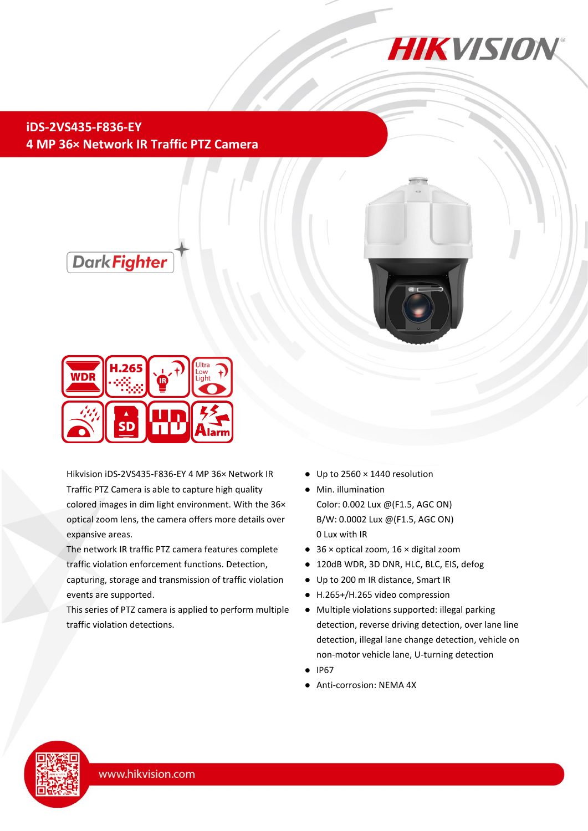

## **iDS-2VS435-F836-EY 4 MP 36× Network IR Traffic PTZ Camera**





Hikvision iDS-2VS435-F836-EY 4 MP 36× Network IR Traffic PTZ Camera is able to capture high quality colored images in dim light environment. With the 36× optical zoom lens, the camera offers more details over expansive areas.

The network IR traffic PTZ camera features complete traffic violation enforcement functions. Detection,

capturing, storage and transmission of traffic violation events are supported.

This series of PTZ camera is applied to perform multiple traffic violation detections.

- Up to 2560 × 1440 resolution
- Min. illumination Color: 0.002 Lux @(F1.5, AGC ON) B/W: 0.0002 Lux @(F1.5, AGC ON) 0 Lux with IR
- 36 × optical zoom, 16 × digital zoom
- 120dB WDR, 3D DNR, HLC, BLC, EIS, defog
- Up to 200 m IR distance, Smart IR
- H.265+/H.265 video compression
- Multiple violations supported: illegal parking detection, reverse driving detection, over lane line detection, illegal lane change detection, vehicle on non-motor vehicle lane, U-turning detection
- IP67
- Anti-corrosion: NEMA 4X



L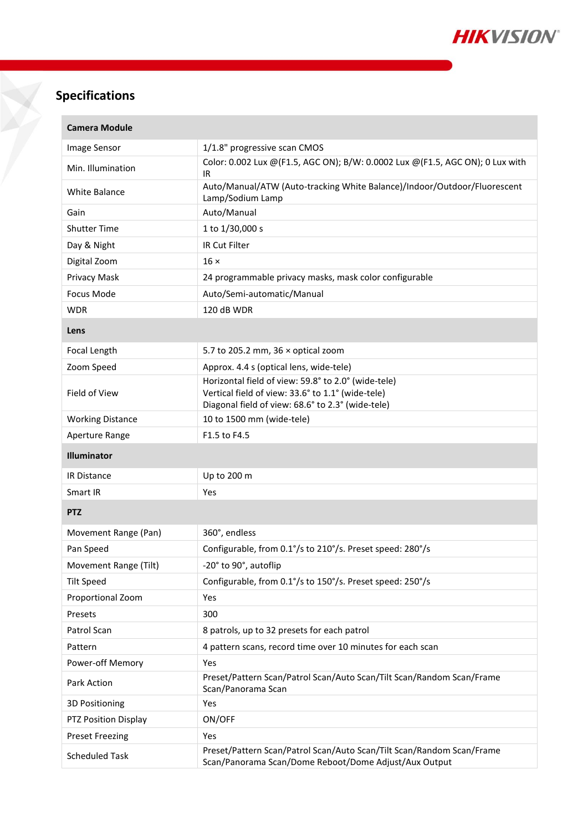

# **Specifications**

×

X

| <b>Camera Module</b>    |                                                                                                                                                               |  |  |  |
|-------------------------|---------------------------------------------------------------------------------------------------------------------------------------------------------------|--|--|--|
| Image Sensor            | 1/1.8" progressive scan CMOS                                                                                                                                  |  |  |  |
| Min. Illumination       | Color: 0.002 Lux @(F1.5, AGC ON); B/W: 0.0002 Lux @(F1.5, AGC ON); 0 Lux with<br>IR                                                                           |  |  |  |
| White Balance           | Auto/Manual/ATW (Auto-tracking White Balance)/Indoor/Outdoor/Fluorescent<br>Lamp/Sodium Lamp                                                                  |  |  |  |
| Gain                    | Auto/Manual                                                                                                                                                   |  |  |  |
| <b>Shutter Time</b>     | 1 to 1/30,000 s                                                                                                                                               |  |  |  |
| Day & Night             | IR Cut Filter                                                                                                                                                 |  |  |  |
| Digital Zoom            | $16 \times$                                                                                                                                                   |  |  |  |
| Privacy Mask            | 24 programmable privacy masks, mask color configurable                                                                                                        |  |  |  |
| Focus Mode              | Auto/Semi-automatic/Manual                                                                                                                                    |  |  |  |
| <b>WDR</b>              | 120 dB WDR                                                                                                                                                    |  |  |  |
| Lens                    |                                                                                                                                                               |  |  |  |
| Focal Length            | 5.7 to 205.2 mm, $36 \times$ optical zoom                                                                                                                     |  |  |  |
| Zoom Speed              | Approx. 4.4 s (optical lens, wide-tele)                                                                                                                       |  |  |  |
| Field of View           | Horizontal field of view: 59.8° to 2.0° (wide-tele)<br>Vertical field of view: 33.6° to 1.1° (wide-tele)<br>Diagonal field of view: 68.6° to 2.3° (wide-tele) |  |  |  |
| <b>Working Distance</b> | 10 to 1500 mm (wide-tele)                                                                                                                                     |  |  |  |
| Aperture Range          | F1.5 to F4.5                                                                                                                                                  |  |  |  |
| <b>Illuminator</b>      |                                                                                                                                                               |  |  |  |
| IR Distance             | Up to 200 m                                                                                                                                                   |  |  |  |
| Smart IR                | Yes                                                                                                                                                           |  |  |  |
| <b>PTZ</b>              |                                                                                                                                                               |  |  |  |
| Movement Range (Pan)    | 360°, endless                                                                                                                                                 |  |  |  |
| Pan Speed               | Configurable, from 0.1°/s to 210°/s. Preset speed: 280°/s                                                                                                     |  |  |  |
| Movement Range (Tilt)   | 20° to 90°, autoflip                                                                                                                                          |  |  |  |
| <b>Tilt Speed</b>       | Configurable, from 0.1°/s to 150°/s. Preset speed: 250°/s                                                                                                     |  |  |  |
| Proportional Zoom       | Yes                                                                                                                                                           |  |  |  |
| Presets                 | 300                                                                                                                                                           |  |  |  |
| Patrol Scan             | 8 patrols, up to 32 presets for each patrol                                                                                                                   |  |  |  |
| Pattern                 | 4 pattern scans, record time over 10 minutes for each scan                                                                                                    |  |  |  |
| Power-off Memory        | Yes                                                                                                                                                           |  |  |  |
| Park Action             | Preset/Pattern Scan/Patrol Scan/Auto Scan/Tilt Scan/Random Scan/Frame<br>Scan/Panorama Scan                                                                   |  |  |  |
| 3D Positioning          | Yes                                                                                                                                                           |  |  |  |
| PTZ Position Display    | ON/OFF                                                                                                                                                        |  |  |  |
| <b>Preset Freezing</b>  | Yes                                                                                                                                                           |  |  |  |
|                         |                                                                                                                                                               |  |  |  |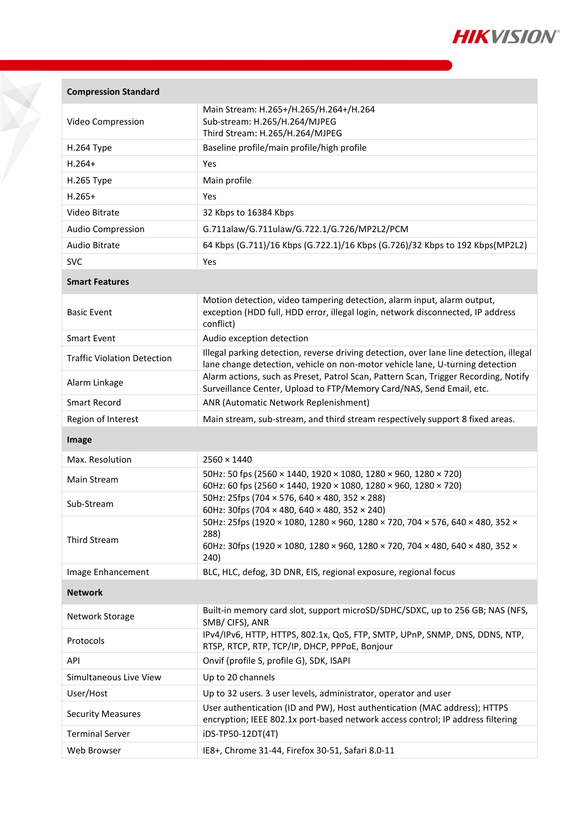

| <b>Compression Standard</b> |  |
|-----------------------------|--|
|-----------------------------|--|

| Video Compression        | Main Stream: H.265+/H.265/H.264+/H.264<br>Sub-stream: H.265/H.264/MJPEG<br>Third Stream: H.265/H.264/MJPEG |  |  |
|--------------------------|------------------------------------------------------------------------------------------------------------|--|--|
| $H.264$ Type             | Baseline profile/main profile/high profile                                                                 |  |  |
| $H.264+$                 | <b>Yes</b>                                                                                                 |  |  |
| H.265 Type               | Main profile                                                                                               |  |  |
| $H.265+$                 | Yes                                                                                                        |  |  |
| Video Bitrate            | 32 Kbps to 16384 Kbps                                                                                      |  |  |
| <b>Audio Compression</b> | G.711alaw/G.711ulaw/G.722.1/G.726/MP2L2/PCM                                                                |  |  |
| Audio Bitrate            | 64 Kbps (G.711)/16 Kbps (G.722.1)/16 Kbps (G.726)/32 Kbps to 192 Kbps(MP2L2)                               |  |  |
| <b>SVC</b>               | Yes                                                                                                        |  |  |

#### **Smart Features**

| <b>Basic Event</b>                 | Motion detection, video tampering detection, alarm input, alarm output,<br>exception (HDD full, HDD error, illegal login, network disconnected, IP address<br>conflict)  |
|------------------------------------|--------------------------------------------------------------------------------------------------------------------------------------------------------------------------|
| <b>Smart Event</b>                 | Audio exception detection                                                                                                                                                |
| <b>Traffic Violation Detection</b> | Illegal parking detection, reverse driving detection, over lane line detection, illegal<br>lane change detection, vehicle on non-motor vehicle lane, U-turning detection |
| Alarm Linkage                      | Alarm actions, such as Preset, Patrol Scan, Pattern Scan, Trigger Recording, Notify<br>Surveillance Center, Upload to FTP/Memory Card/NAS, Send Email, etc.              |
| Smart Record                       | ANR (Automatic Network Replenishment)                                                                                                                                    |
| Region of Interest                 | Main stream, sub-stream, and third stream respectively support 8 fixed areas.                                                                                            |

**Image**

| $2560 \times 1440$                                                                                                                                                             |  |  |  |
|--------------------------------------------------------------------------------------------------------------------------------------------------------------------------------|--|--|--|
| 50Hz: 50 fps (2560 × 1440, 1920 × 1080, 1280 × 960, 1280 × 720)<br>60Hz: 60 fps (2560 × 1440, 1920 × 1080, 1280 × 960, 1280 × 720)                                             |  |  |  |
| 50Hz: 25fps (704 $\times$ 576, 640 $\times$ 480, 352 $\times$ 288)<br>60Hz: 30fps (704 $\times$ 480, 640 $\times$ 480, 352 $\times$ 240)                                       |  |  |  |
| 50Hz: 25fps (1920 × 1080, 1280 × 960, 1280 × 720, 704 × 576, 640 × 480, 352 ×<br>288)<br>60Hz: 30fps (1920 × 1080, 1280 × 960, 1280 × 720, 704 × 480, 640 × 480, 352 ×<br>240) |  |  |  |
| BLC, HLC, defog, 3D DNR, EIS, regional exposure, regional focus                                                                                                                |  |  |  |
|                                                                                                                                                                                |  |  |  |
| Built-in memory card slot, support microSD/SDHC/SDXC, up to 256 GB; NAS (NFS,<br>SMB/CIFS), ANR                                                                                |  |  |  |
| IPv4/IPv6, HTTP, HTTPS, 802.1x, QoS, FTP, SMTP, UPnP, SNMP, DNS, DDNS, NTP,<br>RTSP, RTCP, RTP, TCP/IP, DHCP, PPPoE, Bonjour                                                   |  |  |  |
| Onvif (profile S, profile G), SDK, ISAPI                                                                                                                                       |  |  |  |
| Up to 20 channels                                                                                                                                                              |  |  |  |
| Up to 32 users. 3 user levels, administrator, operator and user                                                                                                                |  |  |  |
| User authentication (ID and PW), Host authentication (MAC address); HTTPS<br>encryption; IEEE 802.1x port-based network access control; IP address filtering                   |  |  |  |
| iDS-TP50-12DT(4T)                                                                                                                                                              |  |  |  |
| IE8+, Chrome 31-44, Firefox 30-51, Safari 8.0-11                                                                                                                               |  |  |  |
|                                                                                                                                                                                |  |  |  |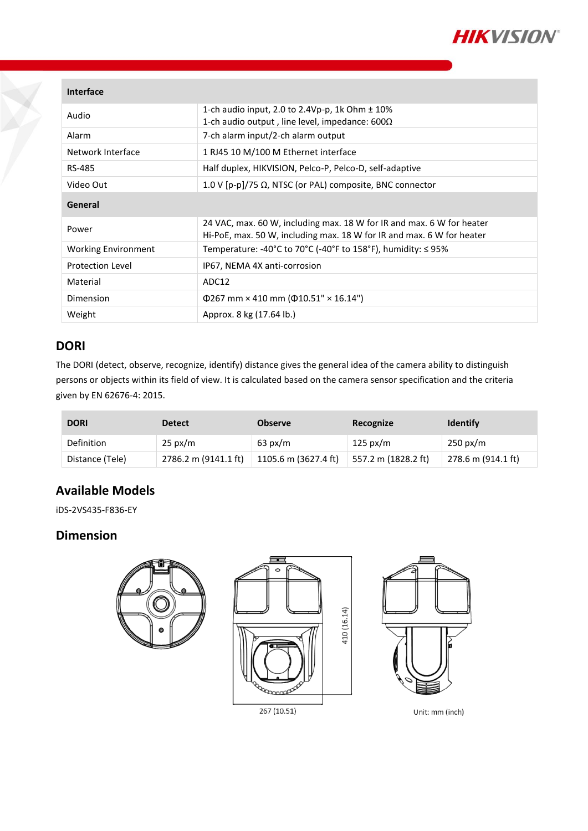

### **Interface**

| Audio                      | 1-ch audio input, 2.0 to 2.4Vp-p, 1k Ohm $\pm$ 10%<br>1-ch audio output, line level, impedance: $600\Omega$                                    |  |  |  |
|----------------------------|------------------------------------------------------------------------------------------------------------------------------------------------|--|--|--|
| Alarm                      | 7-ch alarm input/2-ch alarm output                                                                                                             |  |  |  |
| Network Interface          | 1 RJ45 10 M/100 M Ethernet interface                                                                                                           |  |  |  |
| RS-485                     | Half duplex, HIKVISION, Pelco-P, Pelco-D, self-adaptive                                                                                        |  |  |  |
| Video Out                  | 1.0 V [p-p]/75 $\Omega$ , NTSC (or PAL) composite, BNC connector                                                                               |  |  |  |
| General                    |                                                                                                                                                |  |  |  |
|                            |                                                                                                                                                |  |  |  |
| Power                      | 24 VAC, max. 60 W, including max. 18 W for IR and max. 6 W for heater<br>Hi-PoE, max. 50 W, including max. 18 W for IR and max. 6 W for heater |  |  |  |
| <b>Working Environment</b> | Temperature: -40°C to 70°C (-40°F to 158°F), humidity: $\leq$ 95%                                                                              |  |  |  |
| <b>Protection Level</b>    | IP67, NEMA 4X anti-corrosion                                                                                                                   |  |  |  |
| Material                   | ADC12                                                                                                                                          |  |  |  |
| Dimension                  | $\Phi$ 267 mm × 410 mm ( $\Phi$ 10.51" × 16.14")                                                                                               |  |  |  |

## **DORI**

The DORI (detect, observe, recognize, identify) distance gives the general idea of the camera ability to distinguish persons or objects within its field of view. It is calculated based on the camera sensor specification and the criteria given by EN 62676-4: 2015.

| <b>DORI</b>     | <b>Detect</b>        | <b>Observe</b>       | Recognize           | <b>Identify</b>    |
|-----------------|----------------------|----------------------|---------------------|--------------------|
| Definition      | $25 \text{ px/m}$    | $63 \text{ px/m}$    | $125 \text{ px/m}$  | $250 \text{ px/m}$ |
| Distance (Tele) | 2786.2 m (9141.1 ft) | 1105.6 m (3627.4 ft) | 557.2 m (1828.2 ft) | 278.6 m (914.1 ft) |

## **Available Models**

iDS-2VS435-F836-EY

### **Dimension**

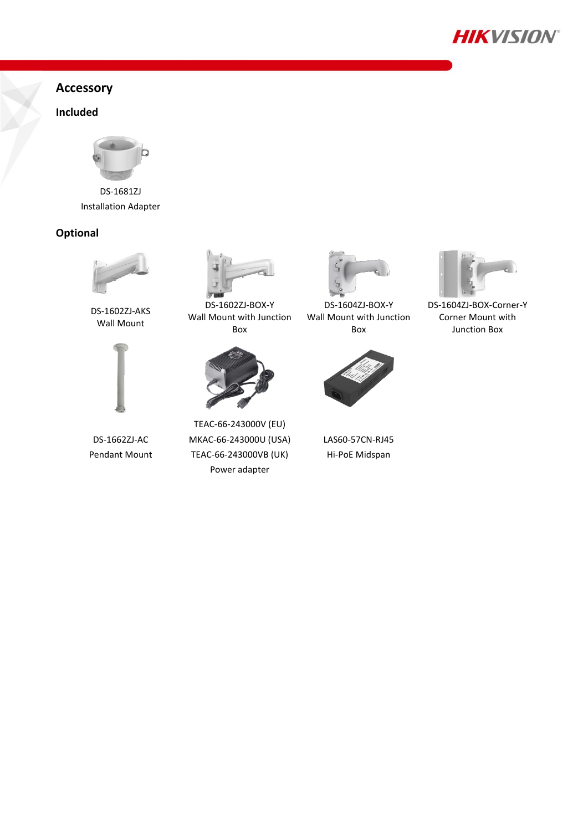

## **Accessory**

### **Included**



DS-1681ZJ Installation Adapter

### **Optional**



DS-1602ZJ-AKS Wall Mount



DS-1662ZJ-AC Pendant Mount



DS-1602ZJ-BOX-Y Wall Mount with Junction Box



TEAC-66-243000V (EU) MKAC-66-243000U (USA) TEAC-66-243000VB (UK) Power adapter



DS-1604ZJ-BOX-Y Wall Mount with Junction Box



LAS60-57CN-RJ45 Hi-PoE Midspan



DS-1604ZJ-BOX-Corner-Y Corner Mount with Junction Box